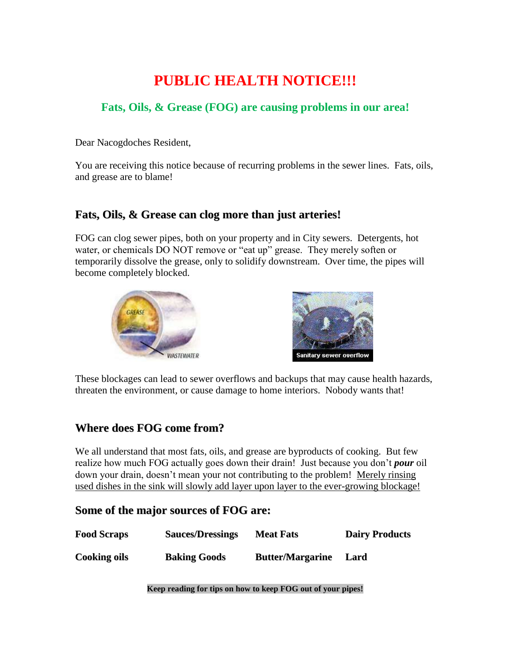# **PUBLIC HEALTH NOTICE!!!**

#### **Fats, Oils, & Grease (FOG) are causing problems in our area!**

Dear Nacogdoches Resident,

You are receiving this notice because of recurring problems in the sewer lines. Fats, oils, and grease are to blame!

#### **Fats, Oils, & Grease can clog more than just arteries!**

FOG can clog sewer pipes, both on your property and in City sewers. Detergents, hot water, or chemicals DO NOT remove or "eat up" grease. They merely soften or temporarily dissolve the grease, only to solidify downstream. Over time, the pipes will become completely blocked.





These blockages can lead to sewer overflows and backups that may cause health hazards, threaten the environment, or cause damage to home interiors. Nobody wants that!

### **Where does FOG come from?**

We all understand that most fats, oils, and grease are byproducts of cooking. But few realize how much FOG actually goes down their drain! Just because you don't *pour* oil down your drain, doesn't mean your not contributing to the problem! Merely rinsing used dishes in the sink will slowly add layer upon layer to the ever-growing blockage!

#### **Some of the major sources of FOG are:**

| <b>Food Scraps</b>  | <b>Sauces/Dressings</b> | <b>Meat Fats</b>        | <b>Dairy Products</b> |
|---------------------|-------------------------|-------------------------|-----------------------|
| <b>Cooking oils</b> | <b>Baking Goods</b>     | <b>Butter/Margarine</b> | Lard                  |

**Keep reading for tips on how to keep FOG out of your pipes!**